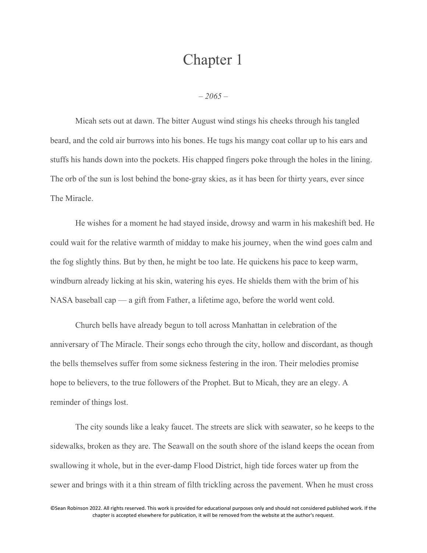## Chapter 1

*– 2065 –*

Micah sets out at dawn. The bitter August wind stings his cheeks through his tangled beard, and the cold air burrows into his bones. He tugs his mangy coat collar up to his ears and stuffs his hands down into the pockets. His chapped fingers poke through the holes in the lining. The orb of the sun is lost behind the bone-gray skies, as it has been for thirty years, ever since The Miracle.

He wishes for a moment he had stayed inside, drowsy and warm in his makeshift bed. He could wait for the relative warmth of midday to make his journey, when the wind goes calm and the fog slightly thins. But by then, he might be too late. He quickens his pace to keep warm, windburn already licking at his skin, watering his eyes. He shields them with the brim of his NASA baseball cap — a gift from Father, a lifetime ago, before the world went cold.

Church bells have already begun to toll across Manhattan in celebration of the anniversary of The Miracle. Their songs echo through the city, hollow and discordant, as though the bells themselves suffer from some sickness festering in the iron. Their melodies promise hope to believers, to the true followers of the Prophet. But to Micah, they are an elegy. A reminder of things lost.

The city sounds like a leaky faucet. The streets are slick with seawater, so he keeps to the sidewalks, broken as they are. The Seawall on the south shore of the island keeps the ocean from swallowing it whole, but in the ever-damp Flood District, high tide forces water up from the sewer and brings with it a thin stream of filth trickling across the pavement. When he must cross

©Sean Robinson 2022. All rights reserved. This work is provided for educational purposes only and should not considered published work. If the chapter is accepted elsewhere for publication, it will be removed from the website at the author's request.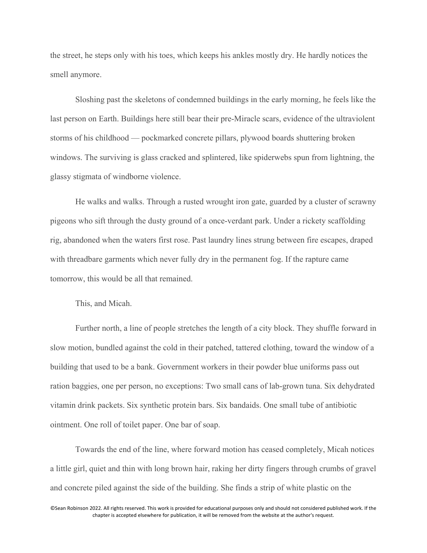the street, he steps only with his toes, which keeps his ankles mostly dry. He hardly notices the smell anymore.

Sloshing past the skeletons of condemned buildings in the early morning, he feels like the last person on Earth. Buildings here still bear their pre-Miracle scars, evidence of the ultraviolent storms of his childhood — pockmarked concrete pillars, plywood boards shuttering broken windows. The surviving is glass cracked and splintered, like spiderwebs spun from lightning, the glassy stigmata of windborne violence.

He walks and walks. Through a rusted wrought iron gate, guarded by a cluster of scrawny pigeons who sift through the dusty ground of a once-verdant park. Under a rickety scaffolding rig, abandoned when the waters first rose. Past laundry lines strung between fire escapes, draped with threadbare garments which never fully dry in the permanent fog. If the rapture came tomorrow, this would be all that remained.

This, and Micah.

Further north, a line of people stretches the length of a city block. They shuffle forward in slow motion, bundled against the cold in their patched, tattered clothing, toward the window of a building that used to be a bank. Government workers in their powder blue uniforms pass out ration baggies, one per person, no exceptions: Two small cans of lab-grown tuna. Six dehydrated vitamin drink packets. Six synthetic protein bars. Six bandaids. One small tube of antibiotic ointment. One roll of toilet paper. One bar of soap.

Towards the end of the line, where forward motion has ceased completely, Micah notices a little girl, quiet and thin with long brown hair, raking her dirty fingers through crumbs of gravel and concrete piled against the side of the building. She finds a strip of white plastic on the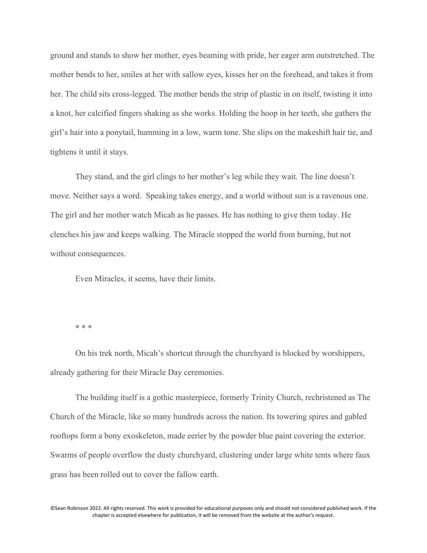ground and stands to show her mother, eyes beaming with pride, her eager arm outstretched. The mother bends to her, smiles at her with sallow eyes, kisses her on the forehead, and takes it from her. The child sits cross-legged. The mother bends the strip of plastic in on itself, twisting it into a knot, her calcified fingers shaking as she works. Holding the hoop in her teeth, she gathers the girl's hair into a ponytail, humming in a low, warm tone. She slips on the makeshift hair tie, and tightens it until it stays.

They stand, and the girl clings to her mother's leg while they wait. The line doesn't move. Neither says a word. Speaking takes energy, and a world without sun is a ravenous one. The girl and her mother watch Micah as he passes. He has nothing to give them today. He clenches his jaw and keeps walking. The Miracle stopped the world from burning, but not without consequences.

Even Miracles, it seems, have their limits.

\* \* \*

On his trek north, Micah's shortcut through the churchyard is blocked by worshippers, already gathering for their Miracle Day ceremonies.

The building itself is a gothic masterpiece, formerly Trinity Church, rechristened as The Church of the Miracle, like so many hundreds across the nation. Its towering spires and gabled rooftops form a bony exoskeleton, made eerier by the powder blue paint covering the exterior. Swarms of people overflow the dusty churchyard, clustering under large white tents where faux grass has been rolled out to cover the fallow earth.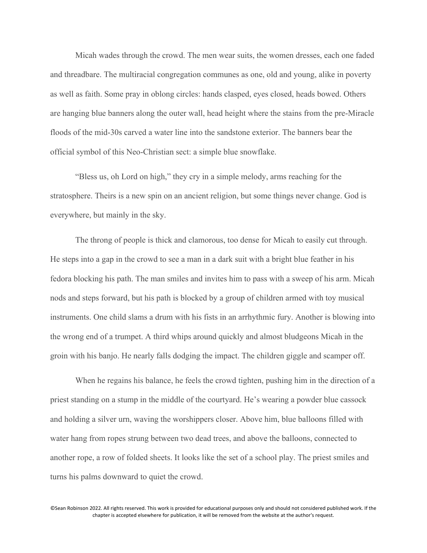Micah wades through the crowd. The men wear suits, the women dresses, each one faded and threadbare. The multiracial congregation communes as one, old and young, alike in poverty as well as faith. Some pray in oblong circles: hands clasped, eyes closed, heads bowed. Others are hanging blue banners along the outer wall, head height where the stains from the pre-Miracle floods of the mid-30s carved a water line into the sandstone exterior. The banners bear the official symbol of this Neo-Christian sect: a simple blue snowflake.

"Bless us, oh Lord on high," they cry in a simple melody, arms reaching for the stratosphere. Theirs is a new spin on an ancient religion, but some things never change. God is everywhere, but mainly in the sky.

The throng of people is thick and clamorous, too dense for Micah to easily cut through. He steps into a gap in the crowd to see a man in a dark suit with a bright blue feather in his fedora blocking his path. The man smiles and invites him to pass with a sweep of his arm. Micah nods and steps forward, but his path is blocked by a group of children armed with toy musical instruments. One child slams a drum with his fists in an arrhythmic fury. Another is blowing into the wrong end of a trumpet. A third whips around quickly and almost bludgeons Micah in the groin with his banjo. He nearly falls dodging the impact. The children giggle and scamper off.

When he regains his balance, he feels the crowd tighten, pushing him in the direction of a priest standing on a stump in the middle of the courtyard. He's wearing a powder blue cassock and holding a silver urn, waving the worshippers closer. Above him, blue balloons filled with water hang from ropes strung between two dead trees, and above the balloons, connected to another rope, a row of folded sheets. It looks like the set of a school play. The priest smiles and turns his palms downward to quiet the crowd.

©Sean Robinson 2022. All rights reserved. This work is provided for educational purposes only and should not considered published work. If the chapter is accepted elsewhere for publication, it will be removed from the website at the author's request.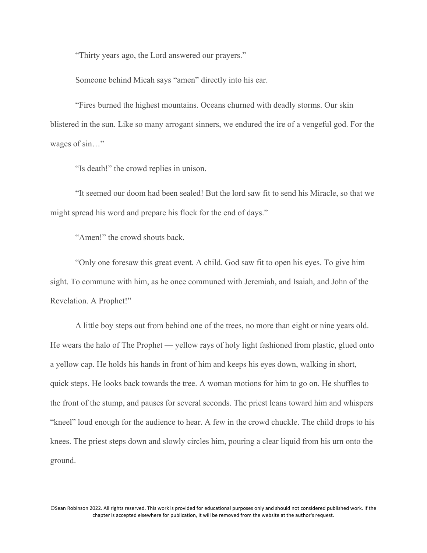"Thirty years ago, the Lord answered our prayers."

Someone behind Micah says "amen" directly into his ear.

"Fires burned the highest mountains. Oceans churned with deadly storms. Our skin blistered in the sun. Like so many arrogant sinners, we endured the ire of a vengeful god. For the wages of sin..."

"Is death!" the crowd replies in unison.

"It seemed our doom had been sealed! But the lord saw fit to send his Miracle, so that we might spread his word and prepare his flock for the end of days."

"Amen!" the crowd shouts back.

"Only one foresaw this great event. A child. God saw fit to open his eyes. To give him sight. To commune with him, as he once communed with Jeremiah, and Isaiah, and John of the Revelation. A Prophet!"

A little boy steps out from behind one of the trees, no more than eight or nine years old. He wears the halo of The Prophet — yellow rays of holy light fashioned from plastic, glued onto a yellow cap. He holds his hands in front of him and keeps his eyes down, walking in short, quick steps. He looks back towards the tree. A woman motions for him to go on. He shuffles to the front of the stump, and pauses for several seconds. The priest leans toward him and whispers "kneel" loud enough for the audience to hear. A few in the crowd chuckle. The child drops to his knees. The priest steps down and slowly circles him, pouring a clear liquid from his urn onto the ground.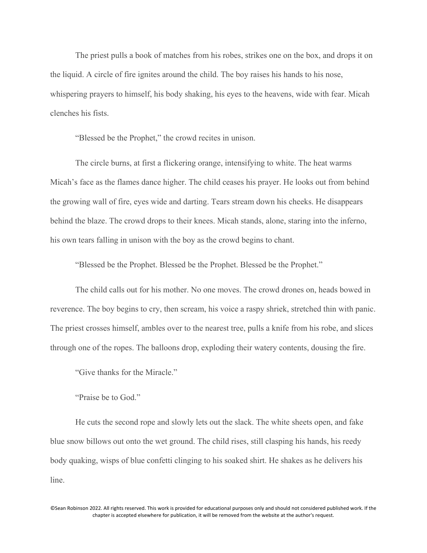The priest pulls a book of matches from his robes, strikes one on the box, and drops it on the liquid. A circle of fire ignites around the child. The boy raises his hands to his nose, whispering prayers to himself, his body shaking, his eyes to the heavens, wide with fear. Micah clenches his fists.

"Blessed be the Prophet," the crowd recites in unison.

The circle burns, at first a flickering orange, intensifying to white. The heat warms Micah's face as the flames dance higher. The child ceases his prayer. He looks out from behind the growing wall of fire, eyes wide and darting. Tears stream down his cheeks. He disappears behind the blaze. The crowd drops to their knees. Micah stands, alone, staring into the inferno, his own tears falling in unison with the boy as the crowd begins to chant.

"Blessed be the Prophet. Blessed be the Prophet. Blessed be the Prophet."

The child calls out for his mother. No one moves. The crowd drones on, heads bowed in reverence. The boy begins to cry, then scream, his voice a raspy shriek, stretched thin with panic. The priest crosses himself, ambles over to the nearest tree, pulls a knife from his robe, and slices through one of the ropes. The balloons drop, exploding their watery contents, dousing the fire.

"Give thanks for the Miracle."

"Praise be to God."

He cuts the second rope and slowly lets out the slack. The white sheets open, and fake blue snow billows out onto the wet ground. The child rises, still clasping his hands, his reedy body quaking, wisps of blue confetti clinging to his soaked shirt. He shakes as he delivers his line.

©Sean Robinson 2022. All rights reserved. This work is provided for educational purposes only and should not considered published work. If the chapter is accepted elsewhere for publication, it will be removed from the website at the author's request.